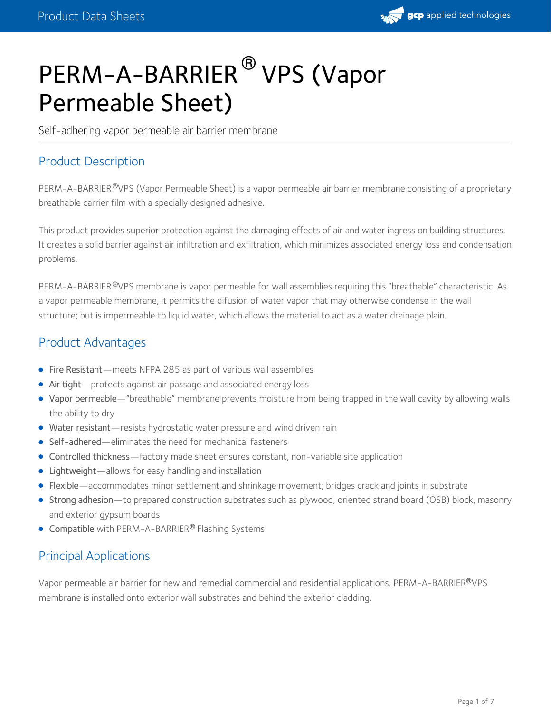

# PERM-A-BARRIER<sup>®</sup> VPS (Vapor Permeable Sheet)

Self-adhering vapor permeable air barrier membrane

## Product Description

PERM-A-BARRIER®VPS (Vapor Permeable Sheet) is a vapor permeable air barrier membrane consisting of a proprietary breathable carrier film with a specially designed adhesive.

This product provides superior protection against the damaging effects of air and water ingress on building structures. It creates a solid barrier against air infiltration and exfiltration, which minimizes associated energy loss and condensation problems.

PERM-A-BARRIER®VPS membrane is vapor permeable for wall assemblies requiring this "breathable" characteristic. As a vapor permeable membrane, it permits the difusion of water vapor that may otherwise condense in the wall structure; but is impermeable to liquid water, which allows the material to act as a water drainage plain.

## Product Advantages

- Fire Resistant—meets NFPA 285 as part of various wall assemblies
- Air tight—protects against air passage and associated energy loss
- Vapor permeable—"breathable" membrane prevents moisture from being trapped in the wall cavity by allowing walls the ability to dry
- Water resistant—resists hydrostatic water pressure and wind driven rain
- Self-adhered—eliminates the need for mechanical fasteners
- Controlled thickness—factory made sheet ensures constant, non-variable site application
- Lightweight—allows for easy handling and installation
- Flexible—accommodates minor settlement and shrinkage movement; bridges crack and joints in substrate
- Strong adhesion—to prepared construction substrates such as plywood, oriented strand board (OSB) block, masonry and exterior gypsum boards
- Compatible with PERM-A-BARRIER® Flashing Systems

## Principal Applications

Vapor permeable air barrier for new and remedial commercial and residential applications. PERM-A-BARRIER VPS **®** membrane is installed onto exterior wall substrates and behind the exterior cladding.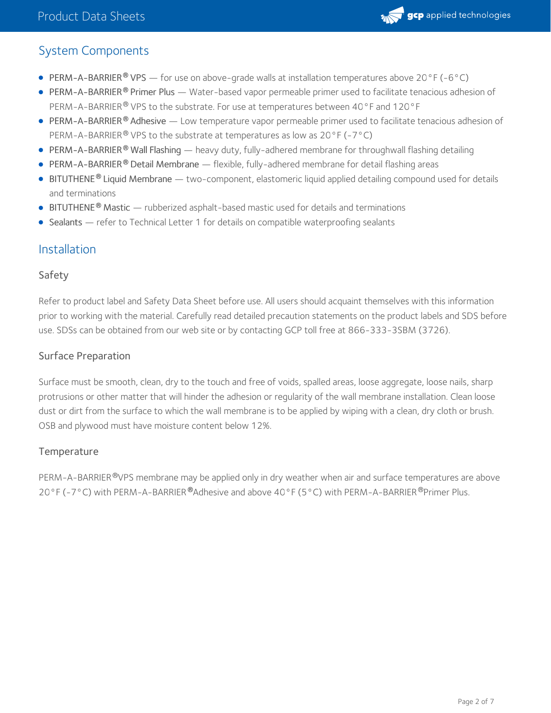

## System Components

- PERM-A-BARRIER VPS for use on above-grade walls at installation temperatures above 20°F (-6°C) **®**
- PERM-A-BARRIER® Primer Plus Water-based vapor permeable primer used to facilitate tenacious adhesion of PERM-A-BARRIER® VPS to the substrate. For use at temperatures between 40°F and 120°F
- PERM-A-BARRIER® Adhesive Low temperature vapor permeable primer used to facilitate tenacious adhesion of PERM-A-BARRIER® VPS to the substrate at temperatures as low as 20°F (-7°C)
- PERM-A-BARRIER Wall Flashing heavy duty, fully-adhered membrane for throughwall flashing detailing **®**
- **PERM-A-BARRIER ® Detail Membrane flexible, fully-adhered membrane for detail flashing areas**
- BITUTHENE Liquid Membrane two-component, elastomeric liquid applied detailing compound used for details **®** and terminations
- BITUTHENE<sup>®</sup> Mastic rubberized asphalt-based mastic used for details and terminations
- Sealants refer to Technical Letter 1 for details on compatible waterproofing sealants

## Installation

#### Safety

Refer to product label and Safety Data Sheet before use. All users should acquaint themselves with this information prior to working with the material. Carefully read detailed precaution statements on the product labels and SDS before use. SDSs can be obtained from our web site or by contacting GCP toll free at 866-333-3SBM (3726).

#### Surface Preparation

Surface must be smooth, clean, dry to the touch and free of voids, spalled areas, loose aggregate, loose nails, sharp protrusions or other matter that will hinder the adhesion or regularity of the wall membrane installation. Clean loose dust or dirt from the surface to which the wall membrane is to be applied by wiping with a clean, dry cloth or brush. OSB and plywood must have moisture content below 12%.

#### **Temperature**

PERM-A-BARRIER®VPS membrane may be applied only in dry weather when air and surface temperatures are above 20°F (-7°C) with PERM-A-BARRIER®Adhesive and above 40°F (5°C) with PERM-A-BARRIER®Primer Plus.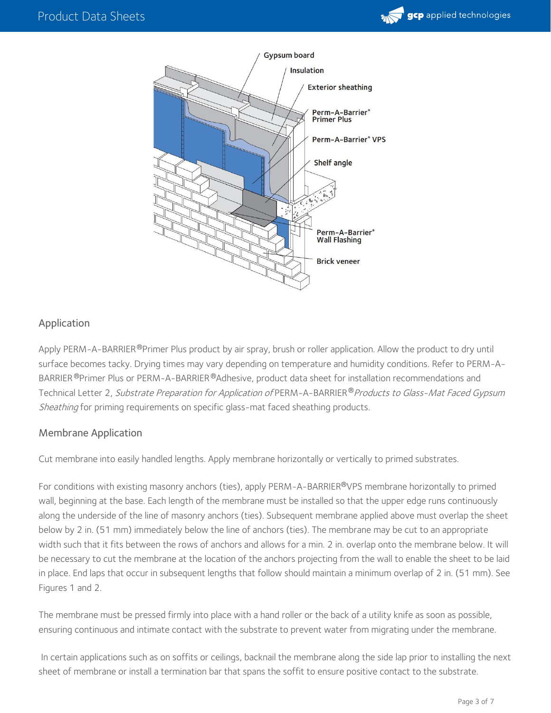



### Application

Apply PERM-A-BARRIER®Primer Plus product by air spray, brush or roller application. Allow the product to dry until surface becomes tacky. Drying times may vary depending on temperature and humidity conditions. Refer to PERM-A- BARRIER ®Primer Plus or PERM-A-BARRIER ®Adhesive, product data sheet for installation recommendations and Technical Letter 2, *Substrate Preparation for Application of* PERM-A-BARRIER®*Products to Glass-Mat Faced Gypsum* Sheathing for priming requirements on specific glass-mat faced sheathing products.

#### Membrane Application

Cut membrane into easily handled lengths. Apply membrane horizontally or vertically to primed substrates.

For conditions with existing masonry anchors (ties), apply PERM-A-BARRIER®VPS membrane horizontally to primed wall, beginning at the base. Each length of the membrane must be installed so that the upper edge runs continuously along the underside of the line of masonry anchors (ties). Subsequent membrane applied above must overlap the sheet below by 2 in. (51 mm) immediately below the line of anchors (ties). The membrane may be cut to an appropriate width such that it fits between the rows of anchors and allows for a min. 2 in. overlap onto the membrane below. It will be necessary to cut the membrane at the location of the anchors projecting from the wall to enable the sheet to be laid in place. End laps that occur in subsequent lengths that follow should maintain a minimum overlap of 2 in. (51 mm). See Figures 1 and 2.

The membrane must be pressed firmly into place with a hand roller or the back of a utility knife as soon as possible, ensuring continuous and intimate contact with the substrate to prevent water from migrating under the membrane.

In certain applications such as on soffits or ceilings, backnail the membrane along the side lap prior to installing the next sheet of membrane or install a termination bar that spans the soffit to ensure positive contact to the substrate.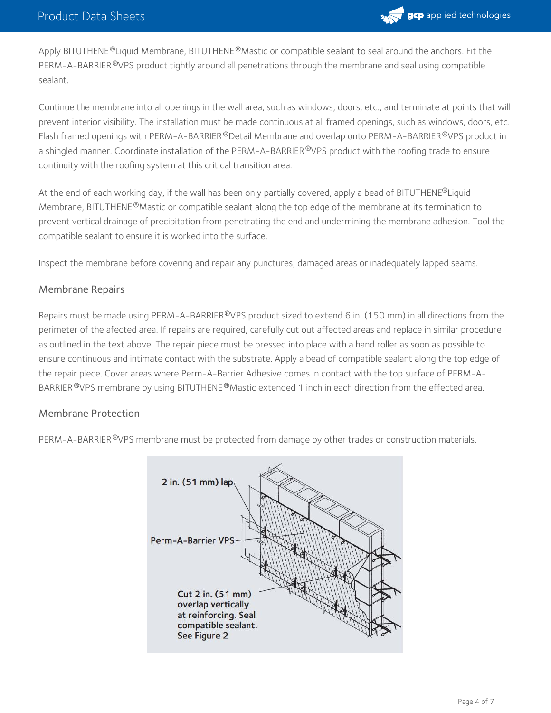

Apply BITUTHENE®Liquid Membrane, BITUTHENE®Mastic or compatible sealant to seal around the anchors. Fit the PERM-A-BARRIER®VPS product tightly around all penetrations through the membrane and seal using compatible sealant.

Continue the membrane into all openings in the wall area, such as windows, doors, etc., and terminate at points that will prevent interior visibility. The installation must be made continuous at all framed openings, such as windows, doors, etc. Flash framed openings with PERM-A-BARRIER®Detail Membrane and overlap onto PERM-A-BARRIER®VPS product in a shingled manner. Coordinate installation of the PERM-A-BARRIER®VPS product with the roofing trade to ensure continuity with the roofing system at this critical transition area.

At the end of each working day, if the wall has been only partially covered, apply a bead of BITUTHENE®Liquid Membrane, BITUTHENE®Mastic or compatible sealant along the top edge of the membrane at its termination to prevent vertical drainage of precipitation from penetrating the end and undermining the membrane adhesion. Tool the compatible sealant to ensure it is worked into the surface.

Inspect the membrane before covering and repair any punctures, damaged areas or inadequately lapped seams.

#### Membrane Repairs

Repairs must be made using PERM-A-BARRIER®VPS product sized to extend 6 in. (150 mm) in all directions from the perimeter of the afected area. If repairs are required, carefully cut out affected areas and replace in similar procedure as outlined in the text above. The repair piece must be pressed into place with a hand roller as soon as possible to ensure continuous and intimate contact with the substrate. Apply a bead of compatible sealant along the top edge of the repair piece. Cover areas where Perm-A-Barrier Adhesive comes in contact with the top surface of PERM-A- BARRIER  $^{\circledR}$ VPS membrane by using BITUTHENE  $^{\circledR}$ Mastic extended 1 inch in each direction from the effected area.

#### Membrane Protection

PERM-A-BARRIER®VPS membrane must be protected from damage by other trades or construction materials.

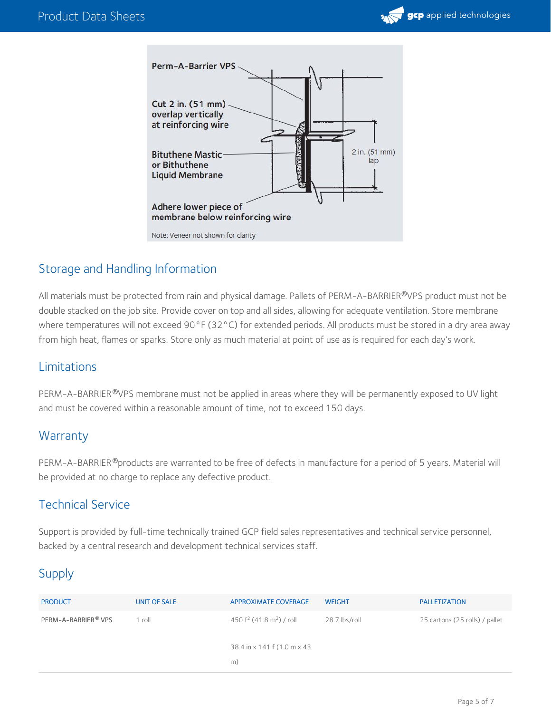



## Storage and Handling Information

All materials must be protected from rain and physical damage. Pallets of PERM-A-BARRIER®VPS product must not be double stacked on the job site. Provide cover on top and all sides, allowing for adequate ventilation. Store membrane where temperatures will not exceed 90°F (32°C) for extended periods. All products must be stored in a dry area away from high heat, flames or sparks. Store only as much material at point of use as is required for each day's work.

## Limitations

PERM-A-BARRIER®VPS membrane must not be applied in areas where they will be permanently exposed to UV light and must be covered within a reasonable amount of time, not to exceed 150 days.

## **Warranty**

PERM-A-BARRIER®products are warranted to be free of defects in manufacture for a period of 5 years. Material will be provided at no charge to replace any defective product.

## Technical Service

Support is provided by full-time technically trained GCP field sales representatives and technical service personnel, backed by a central research and development technical services staff.

## Supply

| <b>PRODUCT</b>      | UNIT OF SALE | <b>APPROXIMATE COVERAGE</b>             | <b>WEIGHT</b> | <b>PALLETIZATION</b>           |
|---------------------|--------------|-----------------------------------------|---------------|--------------------------------|
| PERM-A-BARRIER® VPS | 1 roll       | 450 $f^2$ (41.8 m <sup>2</sup> ) / roll | 28.7 lbs/roll | 25 cartons (25 rolls) / pallet |
|                     |              | 38.4 in x 141 f (1.0 m x 43)<br>m)      |               |                                |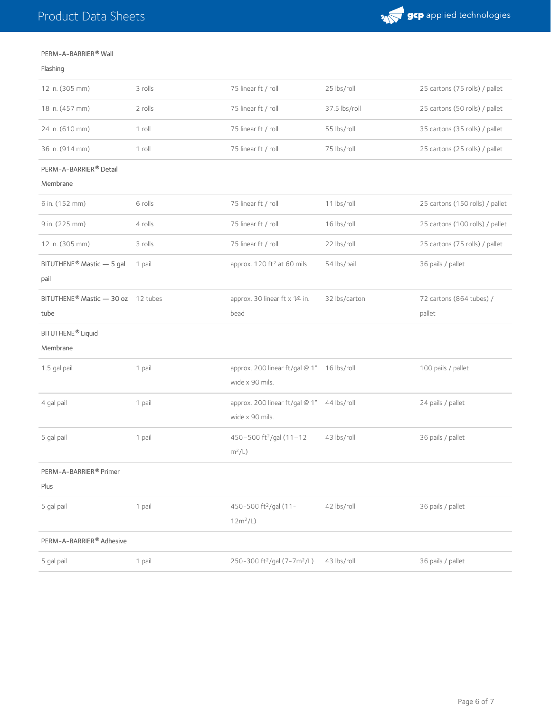

#### PERM-A-BARRIER® Wall

#### Flashing

| 12 in. (305 mm)                           | 3 rolls | 75 linear ft / roll                                 | 25 lbs/roll   | 25 cartons (75 rolls) / pallet  |
|-------------------------------------------|---------|-----------------------------------------------------|---------------|---------------------------------|
| 18 in. (457 mm)                           | 2 rolls | 75 linear ft / roll                                 | 37.5 lbs/roll | 25 cartons (50 rolls) / pallet  |
| 24 in. (610 mm)                           | 1 roll  | 75 linear ft / roll                                 | 55 lbs/roll   | 35 cartons (35 rolls) / pallet  |
| 36 in. (914 mm)                           | 1 roll  | 75 linear ft / roll                                 | 75 lbs/roll   | 25 cartons (25 rolls) / pallet  |
| PERM-A-BARRIER® Detail<br>Membrane        |         |                                                     |               |                                 |
| 6 in. (152 mm)                            | 6 rolls | 75 linear ft / roll                                 | 11 lbs/roll   | 25 cartons (150 rolls) / pallet |
| 9 in. (225 mm)                            | 4 rolls | 75 linear ft / roll                                 | 16 lbs/roll   | 25 cartons (100 rolls) / pallet |
| 12 in. (305 mm)                           | 3 rolls | 75 linear ft / roll                                 | 22 lbs/roll   | 25 cartons (75 rolls) / pallet  |
| BITUTHENE® Mastic - 5 gal<br>pail         | 1 pail  | approx. 120 ft <sup>2</sup> at 60 mils              | 54 lbs/pail   | 36 pails / pallet               |
| BITUTHENE® Mastic - 30 oz 12 tubes        |         | approx. 30 linear ft x 1/4 in.                      | 32 lbs/carton | 72 cartons (864 tubes) /        |
| tube                                      |         | bead                                                |               | pallet                          |
| BITUTHENE <sup>®</sup> Liquid<br>Membrane |         |                                                     |               |                                 |
| 1.5 gal pail                              | 1 pail  | approx. 200 linear ft/gal @ 1"<br>wide x 90 mils.   | 16 lbs/roll   | 100 pails / pallet              |
| 4 gal pail                                | 1 pail  | approx. 200 linear ft/gal @ 1"<br>wide x 90 mils.   | 44 lbs/roll   | 24 pails / pallet               |
| 5 gal pail                                | 1 pail  | 450-500 ft <sup>2</sup> /gal (11-12<br>$m^2/L$ )    | 43 lbs/roll   | 36 pails / pallet               |
| PERM-A-BARRIER® Primer                    |         |                                                     |               |                                 |
| Plus                                      |         |                                                     |               |                                 |
| 5 gal pail                                | 1 pail  | 450-500 ft <sup>2</sup> /gal (11-                   | 42 lbs/roll   | 36 pails / pallet               |
|                                           |         | $12m^2/L$                                           |               |                                 |
| PERM-A-BARRIER® Adhesive                  |         |                                                     |               |                                 |
| 5 gal pail                                | 1 pail  | 250-300 ft <sup>2</sup> /gal (7-7m <sup>2</sup> /L) | 43 lbs/roll   | 36 pails / pallet               |
|                                           |         |                                                     |               |                                 |